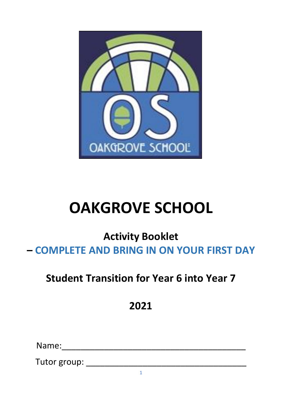

# **OAKGROVE SCHOOL**

**Activity Booklet – COMPLETE AND BRING IN ON YOUR FIRST DAY** 

## **Student Transition for Year 6 into Year 7**

**2021** 

Name:\_\_\_\_\_\_\_\_\_\_\_\_\_\_\_\_\_\_\_\_\_\_\_\_\_\_\_\_\_\_\_\_\_\_\_\_\_\_\_

Tutor group: \_\_\_\_\_\_\_\_\_\_\_\_\_\_\_\_\_\_\_\_\_\_\_\_\_\_\_\_\_\_\_\_\_\_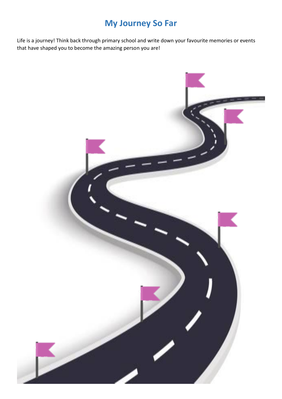## **My Journey So Far**

Life is a journey! Think back through primary school and write down your favourite memories or events that have shaped you to become the amazing person you are!

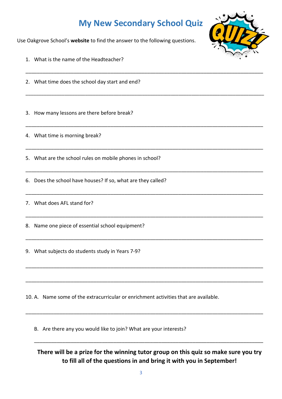## **My New Secondary School Quiz**

\_\_\_\_\_\_\_\_\_\_\_\_\_\_\_\_\_\_\_\_\_\_\_\_\_\_\_\_\_\_\_\_\_\_\_\_\_\_\_\_\_\_\_\_\_\_\_\_\_\_\_\_\_\_\_\_\_\_\_\_\_\_\_\_\_\_\_\_\_\_\_\_\_\_\_\_\_\_\_\_\_\_\_\_

\_\_\_\_\_\_\_\_\_\_\_\_\_\_\_\_\_\_\_\_\_\_\_\_\_\_\_\_\_\_\_\_\_\_\_\_\_\_\_\_\_\_\_\_\_\_\_\_\_\_\_\_\_\_\_\_\_\_\_\_\_\_\_\_\_\_\_\_\_\_\_\_\_\_\_\_\_\_\_\_\_\_\_\_\_\_\_\_\_\_\_\_

\_\_\_\_\_\_\_\_\_\_\_\_\_\_\_\_\_\_\_\_\_\_\_\_\_\_\_\_\_\_\_\_\_\_\_\_\_\_\_\_\_\_\_\_\_\_\_\_\_\_\_\_\_\_\_\_\_\_\_\_\_\_\_\_\_\_\_\_\_\_\_\_\_\_\_\_\_\_\_\_\_\_\_\_

\_\_\_\_\_\_\_\_\_\_\_\_\_\_\_\_\_\_\_\_\_\_\_\_\_\_\_\_\_\_\_\_\_\_\_\_\_\_\_\_\_\_\_\_\_\_\_\_\_\_\_\_\_\_\_\_\_\_\_\_\_\_\_\_\_\_\_\_\_\_\_\_\_\_\_\_\_\_\_\_\_\_\_\_

\_\_\_\_\_\_\_\_\_\_\_\_\_\_\_\_\_\_\_\_\_\_\_\_\_\_\_\_\_\_\_\_\_\_\_\_\_\_\_\_\_\_\_\_\_\_\_\_\_\_\_\_\_\_\_\_\_\_\_\_\_\_\_\_\_\_\_\_\_\_\_\_\_\_\_\_\_\_\_\_\_\_\_\_

\_\_\_\_\_\_\_\_\_\_\_\_\_\_\_\_\_\_\_\_\_\_\_\_\_\_\_\_\_\_\_\_\_\_\_\_\_\_\_\_\_\_\_\_\_\_\_\_\_\_\_\_\_\_\_\_\_\_\_\_\_\_\_\_\_\_\_\_\_\_\_\_\_\_\_\_\_\_\_\_\_\_\_\_

\_\_\_\_\_\_\_\_\_\_\_\_\_\_\_\_\_\_\_\_\_\_\_\_\_\_\_\_\_\_\_\_\_\_\_\_\_\_\_\_\_\_\_\_\_\_\_\_\_\_\_\_\_\_\_\_\_\_\_\_\_\_\_\_\_\_\_\_\_\_\_\_\_\_\_\_\_\_\_\_\_\_\_\_

\_\_\_\_\_\_\_\_\_\_\_\_\_\_\_\_\_\_\_\_\_\_\_\_\_\_\_\_\_\_\_\_\_\_\_\_\_\_\_\_\_\_\_\_\_\_\_\_\_\_\_\_\_\_\_\_\_\_\_\_\_\_\_\_\_\_\_\_\_\_\_\_\_\_\_\_\_\_\_\_\_\_\_\_

\_\_\_\_\_\_\_\_\_\_\_\_\_\_\_\_\_\_\_\_\_\_\_\_\_\_\_\_\_\_\_\_\_\_\_\_\_\_\_\_\_\_\_\_\_\_\_\_\_\_\_\_\_\_\_\_\_\_\_\_\_\_\_\_\_\_\_\_\_\_\_\_\_\_\_\_\_\_\_\_\_\_\_\_

\_\_\_\_\_\_\_\_\_\_\_\_\_\_\_\_\_\_\_\_\_\_\_\_\_\_\_\_\_\_\_\_\_\_\_\_\_\_\_\_\_\_\_\_\_\_\_\_\_\_\_\_\_\_\_\_\_\_\_\_\_\_\_\_\_\_\_\_\_\_\_\_\_\_\_\_\_\_\_\_\_\_\_\_

\_\_\_\_\_\_\_\_\_\_\_\_\_\_\_\_\_\_\_\_\_\_\_\_\_\_\_\_\_\_\_\_\_\_\_\_\_\_\_\_\_\_\_\_\_\_\_\_\_\_\_\_\_\_\_\_\_\_\_\_\_\_\_\_\_\_\_\_\_\_\_\_\_\_\_\_\_\_\_\_\_\_\_\_

Use Oakgrove School's **website** to find the answer to the following questions.

- 1. What is the name of the Headteacher?
- 2. What time does the school day start and end?

3. How many lessons are there before break?

4. What time is morning break?

5. What are the school rules on mobile phones in school?

6. Does the school have houses? If so, what are they called?

7. What does AFL stand for?

8. Name one piece of essential school equipment?

9. What subjects do students study in Years 7-9?

10. A. Name some of the extracurricular or enrichment activities that are available.

B. Are there any you would like to join? What are your interests?

**There will be a prize for the winning tutor group on this quiz so make sure you try to fill all of the questions in and bring it with you in September!** 

\_\_\_\_\_\_\_\_\_\_\_\_\_\_\_\_\_\_\_\_\_\_\_\_\_\_\_\_\_\_\_\_\_\_\_\_\_\_\_\_\_\_\_\_\_\_\_\_\_\_\_\_\_\_\_\_\_\_\_\_\_\_\_\_\_\_\_\_\_\_\_\_\_\_\_\_\_\_\_\_\_

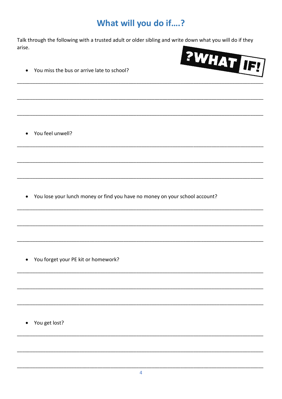## What will you do if....?

Talk through the following with a trusted adult or older sibling and write down what you will do if they arise.



You miss the bus or arrive late to school?  $\bullet$ 

• You feel unwell?

• You lose your lunch money or find you have no money on your school account?

• You forget your PE kit or homework?

• You get lost?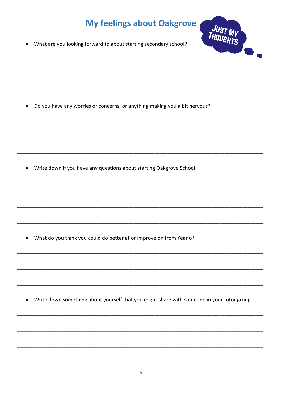## **My feelings about Oakgrove**



What are you looking forward to about starting secondary school?  $\bullet$ 

Do you have any worries or concerns, or anything making you a bit nervous?  $\bullet$ 

• Write down if you have any questions about starting Oakgrove School.

• What do you think you could do better at or improve on from Year 6?

Write down something about yourself that you might share with someone in your tutor group.  $\bullet$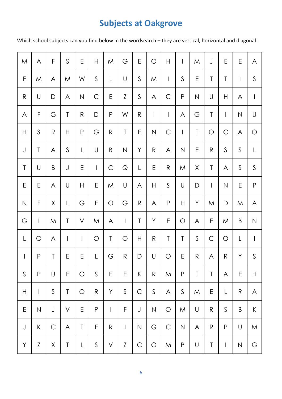## **Subjects at Oakgrove**

Which school subjects can you find below in the wordsearch – they are vertical, horizontal and diagonal!

| ${\sf M}$    | A            | F            | $\mathsf{S}$ | E            | $\mathsf{H}$ | M            | $\mathsf G$           | E                         | O            | $\mathsf{H}$             | $\mathsf{I}$ | ${\sf M}$    | J              | E                         | E                        | A                              |
|--------------|--------------|--------------|--------------|--------------|--------------|--------------|-----------------------|---------------------------|--------------|--------------------------|--------------|--------------|----------------|---------------------------|--------------------------|--------------------------------|
| F            | M            | $\mathsf{A}$ | M            | W            | $\mathsf S$  | L            | $\bigcup$             | $\mathsf{S}$              | M            | $\overline{\phantom{a}}$ | $\mathsf{S}$ | E            | T              | T                         | $\overline{\phantom{a}}$ | $\mathsf{S}$                   |
| $\mathsf{R}$ | U            | $\mathsf D$  | A            | $\mathsf{N}$ | $\mathsf C$  | E            | Z                     | $\mathsf{S}$              | A            | $\mathsf C$              | $\mathsf{P}$ | $\mathsf N$  | $\bigcup$      | $\boldsymbol{\mathsf{H}}$ | A                        | $\mathsf{I}$                   |
| A            | F            | G            | T            | $\mathsf{R}$ | D            | P            | W                     | $\mathsf{R}$              | $\vert$      | $\overline{\phantom{a}}$ | A            | G            | T              | $\overline{\phantom{a}}$  | $\hbox{N}$               | $\bigcup$                      |
| H            | $\mathsf{S}$ | $\mathsf{R}$ | H            | ${\sf P}$    | G            | $\mathsf{R}$ | $\mathsf T$           | E                         | $\hbox{N}$   | $\mathsf C$              | $\vert$      | Τ            | $\bigcirc$     | $\mathsf C$               | A                        | O                              |
| $\bigcup$    | Τ            | A            | $\mathsf{S}$ | L            | $\bigcup$    | B            | $\mathsf{N}$          | Y                         | R            | A                        | N            | E            | $\mathsf{R}$   | $\mathsf S$               | $\mathsf S$              | L                              |
| $\sf T$      | $\mathsf U$  | $\sf B$      | $\bigcup$    | Ε            | $\mathbf{I}$ | $\mathsf C$  | $\hbox{\large \bf Q}$ | L                         | E            | $\mathsf{R}$             | M            | Χ            | Τ              | A                         | S                        | $\mathsf S$                    |
| E            | Ε            | A            | U            | H            | Ε            | ${\sf M}$    | U                     | A                         | $\mathsf{H}$ | $\mathsf S$              | $\bigcup$    | $\mathsf D$  | $\overline{1}$ | $\hbox{N}$                | E                        | $\sf P$                        |
| ${\sf N}$    | F            | Χ            | L            | G            | E            | $\bigcirc$   | G                     | $\mathsf{R}$              | A            | ${\sf P}$                | H            | Y            | M              | D                         | M                        | A                              |
| $\mathbb G$  | $\mathbf{I}$ | ${\sf M}$    | T            | $\vee$       | M            | A            | $\mathbf{I}$          | T                         | Y            | E                        | $\bigcirc$   | $\mathsf{A}$ | E              | ${\sf M}$                 | $\sf B$                  | $\mathsf{N}$                   |
| L            | O            | A            | $\mathbf{I}$ | $\mathsf{I}$ | O            | T            | $\bigcirc$            | $\boldsymbol{\mathsf{H}}$ | R            | T                        | T            | $\mathsf{S}$ | $\mathsf C$    | $\bigcirc$                | L                        | $\begin{array}{c} \end{array}$ |
| $\mathsf{I}$ | ${\sf P}$    | $\sf T$      | E            | E            | L            | G            | $\mathsf{R}$          | D                         | U            | $\bigcirc$               | E            | $\mathsf{R}$ | A              | $\mathsf{R}$              | Υ                        | $\mathsf{S}$                   |
| $\mathsf{S}$ | $\mathsf{P}$ | U            | F            | O            | $\mathsf{S}$ | E            | E                     | K                         | $\mathsf{R}$ | M                        | $\mathsf{P}$ | Τ            | T              | A                         | E                        | $\mathsf{H}$                   |
| Н            | $\mathbf{I}$ | $\mathsf{S}$ | $\mathsf T$  | $\bigcirc$   | $\mathsf{R}$ | Y            | $\mathsf{S}$          | $\mathsf C$               | $\mathsf{S}$ | A                        | $\mathsf{S}$ | M            | E              | L                         | $\mathsf{R}$             | A                              |
| E            | $\mathsf{N}$ | $\bigcup$    | V            | E            | $\mathsf P$  | $\mathsf{I}$ | F                     | J                         | $\mathsf N$  | $\bigcirc$               | M            | $\bigcup$    | $\mathsf{R}$   | S                         | B                        | K                              |
| $\mathsf J$  | $\mathsf{K}$ | $\mathsf C$  | $\mathsf{A}$ | $\mathsf T$  | Ε            | $\mathsf{R}$ | $\mathbf{I}$          | $\hbox{N}$                | G            | $\mathsf C$              | $\mathsf{N}$ | A            | $\mathsf{R}$   | $\mathsf P$               | $\bigcup$                | M                              |
| Y            | Z            | $\mathsf X$  | T            | L            | $\mathsf S$  | V            | $\mathsf{Z}$          | $\mathsf{C}$              | O            | M                        | $\mathsf{P}$ | $\bigcup$    | Τ              | $\mathsf{l}$              | $\mathsf{N}$             | G                              |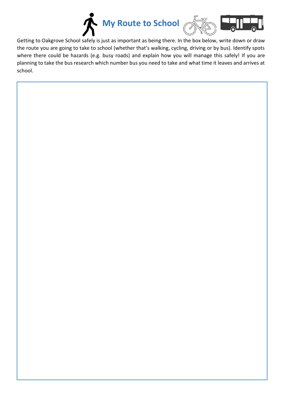





Getting to Oakgrove School safely is just as important as being there. In the box below, write down or draw the route you are going to take to school (whether that's walking, cycling, driving or by bus). Identify spots where there could be hazards (e.g. busy roads) and explain how you will manage this safely! If you are planning to take the bus research which number bus you need to take and what time it leaves and arrives at school.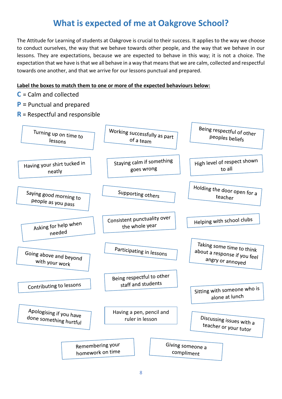### **What is expected of me at Oakgrove School?**

The Attitude for Learning of students at Oakgrove is crucial to their success. It applies to the way we choose to conduct ourselves, the way that we behave towards other people, and the way that we behave in our lessons. They are expectations, because we are expected to behave in this way; it is not a choice. The expectation that we have is that we all behave in a way that means that we are calm, collected and respectful towards one another, and that we arrive for our lessons punctual and prepared.

#### **Label the boxes to match them to one or more of the expected behaviours below:**

- **C** = Calm and collected
- **P** = Punctual and prepared
- **R** = Respectful and responsible

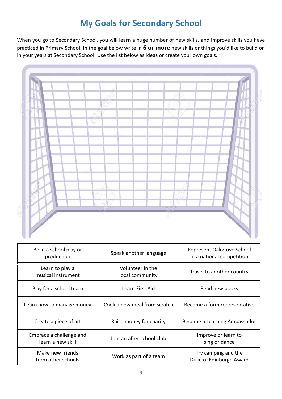## **My Goals for Secondary School**

When you go to Secondary School, you will learn a huge number of new skills, and improve skills you have practiced in Primary School. In the goal below write in **6 or more** new skills or things you'd like to build on in your years at Secondary School. Use the list below as ideas or create your own goals.



| Be in a school play or<br>production         | Speak another language              | Represent Oakgrove School<br>in a national competition |
|----------------------------------------------|-------------------------------------|--------------------------------------------------------|
| Learn to play a<br>musical instrument        | Volunteer in the<br>local community | Travel to another country                              |
| Play for a school team                       | Learn First Aid                     | Read new books                                         |
| Learn how to manage money                    | Cook a new meal from scratch        | Become a form representative                           |
| Create a piece of art                        | Raise money for charity             | Become a Learning Ambassador                           |
| Embrace a challenge and<br>learn a new skill | Join an after school club           | Improve or learn to<br>sing or dance                   |
| Make new friends<br>from other schools       | Work as part of a team              | Try camping and the<br>Duke of Edinburgh Award         |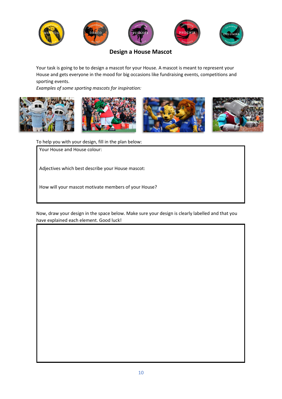

**Design a House Mascot** 

Your task is going to be to design a mascot for your House. A mascot is meant to represent your House and gets everyone in the mood for big occasions like fundraising events, competitions and sporting events.

*Examples of some sporting mascots for inspiration:* 









To help you with your design, fill in the plan below:

Your House and House colour:

Adjectives which best describe your House mascot:

How will your mascot motivate members of your House?

Now, draw your design in the space below. Make sure your design is clearly labelled and that you have explained each element. Good luck!